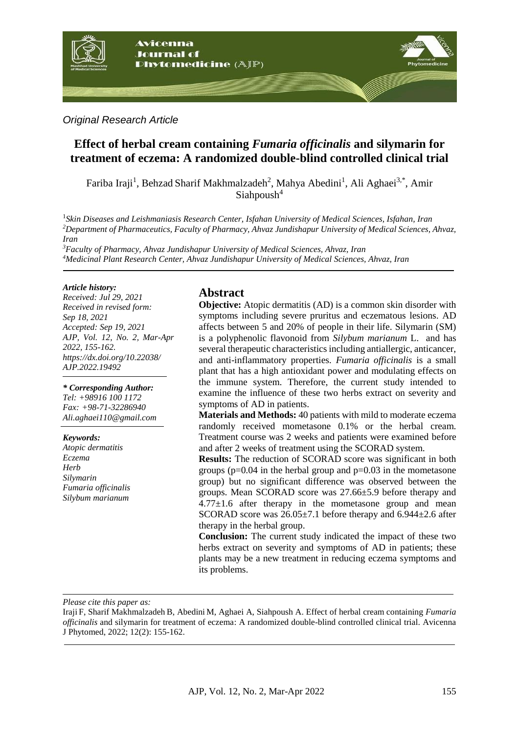

#### *Original Research Article*

# **Effect of herbal cream containing** *Fumaria officinalis* **and silymarin for treatment of eczema: A randomized double-blind controlled clinical trial**

Fariba Iraji<sup>1</sup>, Behzad Sharif Makhmalzadeh<sup>2</sup>, Mahya Abedini<sup>1</sup>, Ali Aghaei<sup>3,\*</sup>, Amir  $S$ iahpoush<sup>4</sup>

1 *Skin Diseases and Leishmaniasis Research Center, Isfahan University of Medical Sciences, Isfahan, Iran <sup>2</sup>Department of Pharmaceutics, Faculty of Pharmacy, Ahvaz Jundishapur University of Medical Sciences, Ahvaz, Iran*

*<sup>3</sup>Faculty of Pharmacy, Ahvaz Jundishapur University of Medical Sciences, Ahvaz, Iran <sup>4</sup>Medicinal Plant Research Center, Ahvaz Jundishapur University of Medical Sciences, Ahvaz, Iran*

#### *Article history:*

*Received: Jul 29, 2021 Received in revised form: Sep 18, 2021 Accepted: Sep 19, 2021 AJP, Vol. 12, No. 2, Mar-Apr 2022, 155-162. https://dx.doi.org/10.22038/ AJP.2022.19492*

*\* Corresponding Author: Tel: +98916 100 1172 Fax: +98-71-32286940 [Ali.aghaei110@gmail.com](mailto:Ali.aghaei110@gmail.com)*

#### *Keywords:*

*Atopic dermatitis Eczema Herb Silymarin Fumaria officinalis Silybum marianum*

### **Abstract**

**Objective:** Atopic dermatitis (AD) is a common skin disorder with symptoms including severe pruritus and eczematous lesions. AD affects between 5 and 20% of people in their life. Silymarin (SM) is a polyphenolic flavonoid from *Silybum marianum* L. and has several therapeutic characteristics including antiallergic, anticancer, and anti-inflammatory properties. *Fumaria officinalis* is a small plant that has a high antioxidant power and modulating effects on the immune system. Therefore, the current study intended to examine the influence of these two herbs extract on severity and symptoms of AD in patients.

**Materials and Methods:** 40 patients with mild to moderate eczema randomly received mometasone 0.1% or the herbal cream. Treatment course was 2 weeks and patients were examined before and after 2 weeks of treatment using the SCORAD system.

**Results:** The reduction of SCORAD score was significant in both groups ( $p=0.04$  in the herbal group and  $p=0.03$  in the mometasone group) but no significant difference was observed between the groups. Mean SCORAD score was 27.66±5.9 before therapy and  $4.77\pm1.6$  after therapy in the mometasone group and mean SCORAD score was  $26.05\pm7.1$  before therapy and  $6.944\pm2.6$  after therapy in the herbal group.

**Conclusion:** The current study indicated the impact of these two herbs extract on severity and symptoms of AD in patients; these plants may be a new treatment in reducing eczema symptoms and its problems.

*Please cite this paper as:* 

Iraji F, Sharif Makhmalzadeh B, Abedini M, Aghaei A, Siahpoush A. Effect of herbal cream containing *Fumaria officinalis* and silymarin for treatment of eczema: A randomized double-blind controlled clinical trial. Avicenna J Phytomed, 2022; 12(2): 155-162.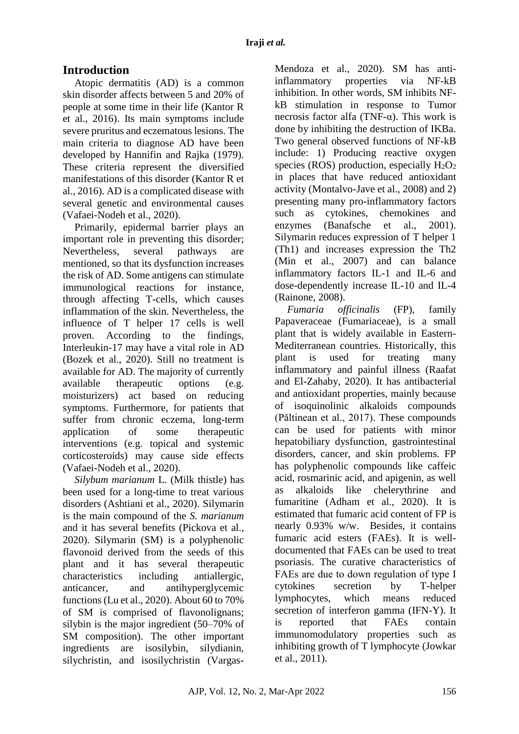# **Introduction**

Atopic dermatitis (AD) is a common skin disorder affects between 5 and 20% of people at some time in their life (Kantor R et al., 2016). Its main symptoms include severe pruritus and eczematous lesions. The main criteria to diagnose AD have been developed by Hannifin and Rajka (1979). These criteria represent the diversified manifestations of this disorder (Kantor R et al., 2016). AD is a complicated disease with several genetic and environmental causes (Vafaei-Nodeh et al., 2020).

Primarily, epidermal barrier plays an important role in preventing this disorder; Nevertheless, several pathways are mentioned, so that its dysfunction increases the risk of AD. Some antigens can stimulate immunological reactions for instance, through affecting T-cells, which causes inflammation of the skin. Nevertheless, the influence of T helper 17 cells is well proven. According to the findings, Interleukin-17 may have a vital role in AD (Bozek et al., 2020). Still no treatment is available for AD. The majority of currently available therapeutic options (e.g. moisturizers) act based on reducing symptoms. Furthermore, for patients that suffer from chronic eczema, long-term application of some therapeutic interventions (e.g. topical and systemic corticosteroids) may cause side effects (Vafaei-Nodeh et al., 2020).

*Silybum marianum* L. (Milk thistle) has been used for a long-time to treat various disorders (Ashtiani et al., 2020). Silymarin is the main compound of the *S. marianum* and it has several benefits (Pickova et al., 2020). Silymarin (SM) is a polyphenolic flavonoid derived from the seeds of this plant and it has several therapeutic characteristics including antiallergic, anticancer, and antihyperglycemic functions(Lu et al., 2020). About 60 to 70% of SM is comprised of flavonolignans; silybin is the major ingredient (50–70% of SM composition). The other important ingredients are isosilybin, silydianin, silychristin, and isosilychristin (VargasMendoza et al., 2020). SM has antiinflammatory properties via NF-kB inhibition. In other words, SM inhibits NFkB stimulation in response to Tumor necrosis factor alfa (TNF-α). This work is done by inhibiting the destruction of IKBa. Two general observed functions of NF-kB include: 1) Producing reactive oxygen species (ROS) production, especially  $H_2O_2$ in places that have reduced antioxidant activity (Montalvo-Jave et al., 2008) and 2) presenting many pro-inflammatory factors such as cytokines, chemokines and enzymes (Banafsche et al., 2001). Silymarin reduces expression of T helper 1 (Th1) and increases expression the Th2 (Min et al., 2007) and can balance inflammatory factors IL-1 and IL-6 and dose-dependently increase IL-10 and IL-4 (Rainone, 2008).

*Fumaria officinalis* (FP), family Papaveraceae (Fumariaceae), is a small plant that is widely available in Eastern-Mediterranean countries. Historically, this plant is used for treating many inflammatory and painful illness (Raafat and El-Zahaby, 2020). It has antibacterial and antioxidant properties, mainly because of isoquinolinic alkaloids compounds (Păltinean et al., 2017). These compounds can be used for patients with minor hepatobiliary dysfunction, gastrointestinal disorders, cancer, and skin problems. FP has polyphenolic compounds like caffeic acid, rosmarinic acid, and apigenin, as well as alkaloids like chelerythrine and fumaritine (Adham et al., 2020). It is estimated that fumaric acid content of FP is nearly 0.93% w/w. Besides, it contains fumaric acid esters (FAEs). It is welldocumented that FAEs can be used to treat psoriasis. The curative characteristics of FAEs are due to down regulation of type І cytokines secretion by T-helper lymphocytes, which means reduced secretion of interferon gamma (IFN-Y). It is reported that FAEs contain immunomodulatory properties such as inhibiting growth of T lymphocyte (Jowkar et al., 2011).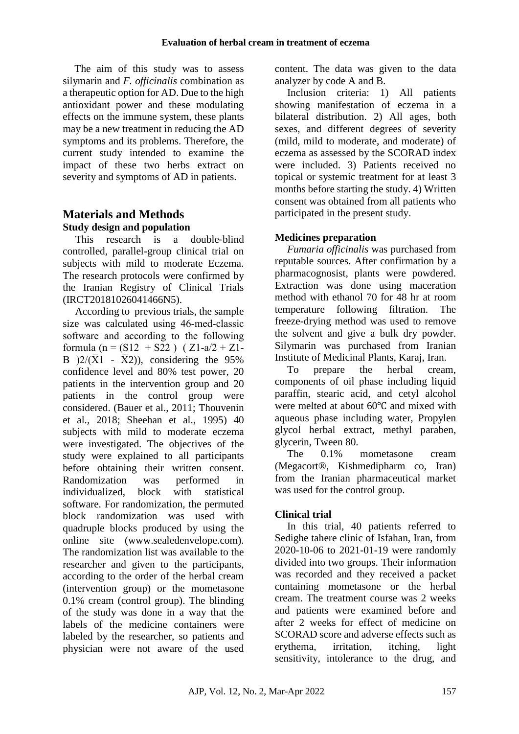The aim of this study was to assess silymarin and *F. officinalis* combination as a therapeutic option for AD. Due to the high antioxidant power and these modulating effects on the immune system, these plants may be a new treatment in reducing the AD symptoms and its problems. Therefore, the current study intended to examine the impact of these two herbs extract on severity and symptoms of AD in patients.

## **Materials and Methods Study design and population**

This research is a double‐blind controlled, parallel-group clinical trial on subjects with mild to moderate Eczema. The research protocols were confirmed by the Iranian Registry of Clinical Trials (IRCT20181026041466N5).

According to previous trials, the sample size was calculated using 46-med-classic software and according to the following formula (n =  $(S12 + S22)$ ) (Z1-a/2 + Z1-B  $2/(\overline{X}1 - \overline{X}2)$ , considering the 95% confidence level and 80% test power, 20 patients in the intervention group and 20 patients in the control group were considered. (Bauer et al., 2011; Thouvenin et al., 2018; Sheehan et al., 1995) 40 subjects with mild to moderate eczema were investigated. The objectives of the study were explained to all participants before obtaining their written consent. Randomization was performed in individualized, block with statistical software. For randomization, the permuted block randomization was used with quadruple blocks produced by using the online site (www.sealedenvelope.com). The randomization list was available to the researcher and given to the participants, according to the order of the herbal cream (intervention group) or the mometasone 0.1% cream (control group). The blinding of the study was done in a way that the labels of the medicine containers were labeled by the researcher, so patients and physician were not aware of the used

content. The data was given to the data analyzer by code A and B.

Inclusion criteria: 1) All patients showing manifestation of eczema in a bilateral distribution. 2) All ages, both sexes, and different degrees of severity (mild, mild to moderate, and moderate) of eczema as assessed by the SCORAD index were included. 3) Patients received no topical or systemic treatment for at least 3 months before starting the study. 4) Written consent was obtained from all patients who participated in the present study.

## **Medicines preparation**

*Fumaria officinalis* was purchased from reputable sources. After confirmation by a pharmacognosist, plants were powdered. Extraction was done using maceration method with ethanol 70 for 48 hr at room temperature following filtration. The freeze-drying method was used to remove the solvent and give a bulk dry powder. Silymarin was purchased from Iranian Institute of Medicinal Plants, Karaj, Iran.

To prepare the herbal cream, components of oil phase including liquid paraffin, stearic acid, and cetyl alcohol were melted at about 60℃ and mixed with aqueous phase including water, Propylen glycol herbal extract, methyl paraben, glycerin, Tween 80.

The 0.1% mometasone cream (Megacort®, Kishmedipharm co, Iran) from the Iranian pharmaceutical market was used for the control group.

# **Clinical trial**

In this trial, 40 patients referred to Sedighe tahere clinic of Isfahan, Iran, from 2020-10-06 to 2021-01-19 were randomly divided into two groups. Their information was recorded and they received a packet containing mometasone or the herbal cream. The treatment course was 2 weeks and patients were examined before and after 2 weeks for effect of medicine on SCORAD score and adverse effects such as erythema, irritation, itching, light sensitivity, intolerance to the drug, and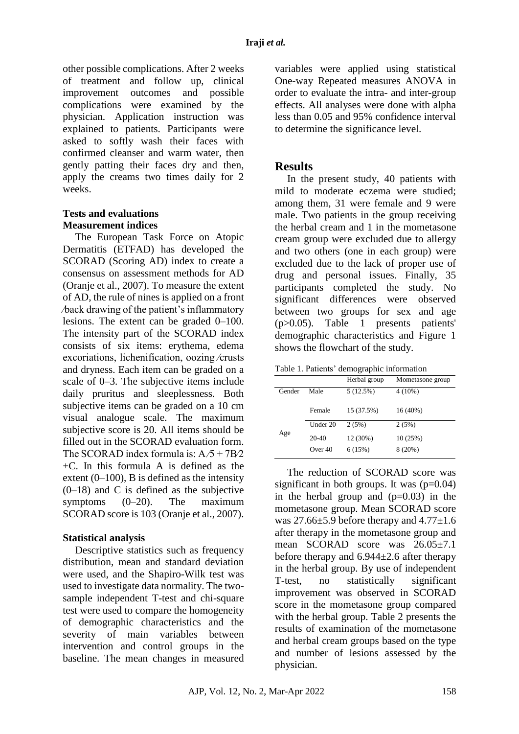other possible complications. After 2 weeks of treatment and follow up, clinical improvement outcomes and possible complications were examined by the physician. Application instruction was explained to patients. Participants were asked to softly wash their faces with confirmed cleanser and warm water, then gently patting their faces dry and then, apply the creams two times daily for 2 weeks.

#### **Tests and evaluations Measurement indices**

The European Task Force on Atopic Dermatitis (ETFAD) has developed the SCORAD (Scoring AD) index to create a consensus on assessment methods for AD (Oranje et al., 2007). To measure the extent of AD, the rule of nines is applied on a front ⁄back drawing of the patient's inflammatory lesions. The extent can be graded 0–100. The intensity part of the SCORAD index consists of six items: erythema, edema excoriations, lichenification, oozing ⁄crusts and dryness. Each item can be graded on a scale of 0–3. The subjective items include daily pruritus and sleeplessness. Both subjective items can be graded on a 10 cm visual analogue scale. The maximum subjective score is 20. All items should be filled out in the SCORAD evaluation form. The SCORAD index formula is:  $A/5 + 7B/2$ +C. In this formula A is defined as the extent  $(0-100)$ , B is defined as the intensity  $(0-18)$  and C is defined as the subjective symptoms (0–20). The maximum SCORAD score is 103 (Oranje et al., 2007).

### **Statistical analysis**

Descriptive statistics such as frequency distribution, mean and standard deviation were used, and the Shapiro-Wilk test was used to investigate data normality. The twosample independent T-test and chi-square test were used to compare the homogeneity of demographic characteristics and the severity of main variables between intervention and control groups in the baseline. The mean changes in measured variables were applied using statistical One-way Repeated measures ANOVA in order to evaluate the intra- and inter-group effects. All analyses were done with alpha less than 0.05 and 95% confidence interval to determine the significance level.

## **Results**

In the present study, 40 patients with mild to moderate eczema were studied; among them, 31 were female and 9 were male. Two patients in the group receiving the herbal cream and 1 in the mometasone cream group were excluded due to allergy and two others (one in each group) were excluded due to the lack of proper use of drug and personal issues. Finally, 35 participants completed the study. No significant differences were observed between two groups for sex and age (p>0.05). Table 1 presents patients' demographic characteristics and Figure 1 shows the flowchart of the study.

| Table 1. Patients' demographic information |  |  |
|--------------------------------------------|--|--|
|--------------------------------------------|--|--|

|        |           | Herbal group | Mometasone group |
|--------|-----------|--------------|------------------|
| Gender | Male      | 5(12.5%)     | $4(10\%)$        |
|        | Female    | 15 (37.5%)   | $16(40\%)$       |
| Age    | Under 20  | 2(5%)        | 2(5%)            |
|        | $20-40$   | 12 (30%)     | 10(25%)          |
|        | Over $40$ | 6(15%)       | $8(20\%)$        |

The reduction of SCORAD score was significant in both groups. It was  $(p=0.04)$ in the herbal group and  $(p=0.03)$  in the mometasone group. Mean SCORAD score was  $27.66\pm5.9$  before therapy and  $4.77\pm1.6$ after therapy in the mometasone group and mean SCORAD score was 26.05±7.1 before therapy and  $6.944\pm2.6$  after therapy in the herbal group. By use of independent T-test, no statistically significant improvement was observed in SCORAD score in the mometasone group compared with the herbal group. Table 2 presents the results of examination of the mometasone and herbal cream groups based on the type and number of lesions assessed by the physician.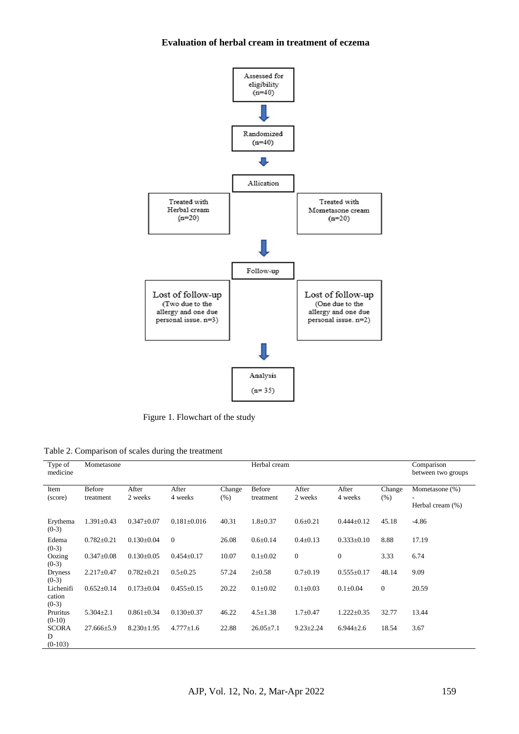#### **Evaluation of herbal cream in treatment of eczema**



Figure 1. Flowchart of the study

Table 2. Comparison of scales during the treatment

| Type of<br>medicine            | Mometasone                 |                  |                   |                | Herbal cream               |                  |                  | Comparison<br>between two groups |                                    |
|--------------------------------|----------------------------|------------------|-------------------|----------------|----------------------------|------------------|------------------|----------------------------------|------------------------------------|
| Item<br>(score)                | <b>Before</b><br>treatment | After<br>2 weeks | After<br>4 weeks  | Change<br>(% ) | <b>Before</b><br>treatment | After<br>2 weeks | After<br>4 weeks | Change<br>(% )                   | Mometasone (%)<br>Herbal cream (%) |
| Erythema<br>$(0-3)$            | $1.391 \pm 0.43$           | $0.347 \pm 0.07$ | $0.181 \pm 0.016$ | 40.31          | $1.8 \pm 0.37$             | $0.6 \pm 0.21$   | $0.444 \pm 0.12$ | 45.18                            | $-4.86$                            |
| Edema<br>$(0-3)$               | $0.782 \pm 0.21$           | $0.130 \pm 0.04$ | $\theta$          | 26.08          | $0.6 \pm 0.14$             | $0.4 \pm 0.13$   | $0.333 \pm 0.10$ | 8.88                             | 17.19                              |
| Oozing<br>$(0-3)$              | $0.347 \pm 0.08$           | $0.130\pm0.05$   | $0.454 \pm 0.17$  | 10.07          | $0.1 \pm 0.02$             | $\mathbf{0}$     | $\mathbf{0}$     | 3.33                             | 6.74                               |
| <b>Dryness</b><br>$(0-3)$      | $2.217 \pm 0.47$           | $0.782 \pm 0.21$ | $0.5 \pm 0.25$    | 57.24          | $2 \pm 0.58$               | $0.7 \pm 0.19$   | $0.555 \pm 0.17$ | 48.14                            | 9.09                               |
| Lichenifi<br>cation<br>$(0-3)$ | $0.652 \pm 0.14$           | $0.173 \pm 0.04$ | $0.455 \pm 0.15$  | 20.22          | $0.1 \pm 0.02$             | $0.1 \pm 0.03$   | $0.1 \pm 0.04$   | $\overline{0}$                   | 20.59                              |
| Pruritus<br>$(0-10)$           | $5.304 \pm 2.1$            | $0.861 \pm 0.34$ | $0.130 \pm 0.37$  | 46.22          | $4.5 \pm 1.38$             | $1.7 + 0.47$     | $1.222 \pm 0.35$ | 32.77                            | 13.44                              |
| <b>SCORA</b><br>D<br>$(0-103)$ | $27.666 \pm 5.9$           | $8.230 \pm 1.95$ | $4.777 \pm 1.6$   | 22.88          | $26.05 \pm 7.1$            | $9.23 \pm 2.24$  | $6.944 \pm 2.6$  | 18.54                            | 3.67                               |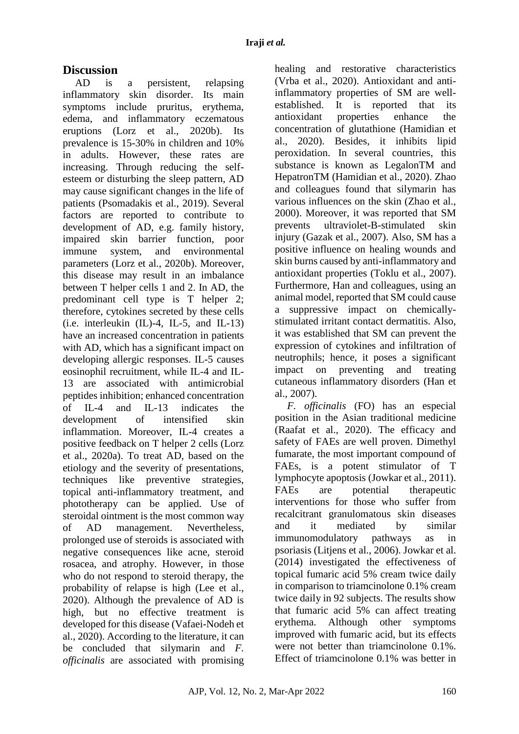## **Discussion**

AD is a persistent, relapsing inflammatory skin disorder. Its main symptoms include pruritus, erythema, edema, and inflammatory eczematous eruptions (Lorz et al., 2020b). Its prevalence is 15-30% in children and 10% in adults. However, these rates are increasing. Through reducing the selfesteem or disturbing the sleep pattern, AD may cause significant changes in the life of patients (Psomadakis et al., 2019). Several factors are reported to contribute to development of AD, e.g. family history, impaired skin barrier function, poor immune system, and environmental parameters (Lorz et al., 2020b). Moreover, this disease may result in an imbalance between T helper cells 1 and 2. In AD, the predominant cell type is T helper 2; therefore, cytokines secreted by these cells  $(i.e.$  interleukin  $(IL)-4$ , IL-5, and IL-13) have an increased concentration in patients with AD, which has a significant impact on developing allergic responses. IL-5 causes eosinophil recruitment, while IL-4 and IL-13 are associated with antimicrobial peptides inhibition; enhanced concentration of IL-4 and IL-13 indicates the development of intensified skin inflammation. Moreover, IL-4 creates a positive feedback on T helper 2 cells (Lorz et al., 2020a). To treat AD, based on the etiology and the severity of presentations, techniques like preventive strategies, topical anti-inflammatory treatment, and phototherapy can be applied. Use of steroidal ointment is the most common way of AD management. Nevertheless, prolonged use of steroids is associated with negative consequences like acne, steroid rosacea, and atrophy. However, in those who do not respond to steroid therapy, the probability of relapse is high (Lee et al., 2020). Although the prevalence of AD is high, but no effective treatment is developed for this disease (Vafaei-Nodeh et al., 2020). According to the literature, it can be concluded that silymarin and *F. officinalis* are associated with promising healing and restorative characteristics (Vrba et al., 2020). Antioxidant and antiinflammatory properties of SM are wellestablished. It is reported that its antioxidant properties enhance the concentration of glutathione (Hamidian et al., 2020). Besides, it inhibits lipid peroxidation. In several countries, this substance is known as LegalonTM and HepatronTM (Hamidian et al., 2020). Zhao and colleagues found that silymarin has various influences on the skin (Zhao et al., 2000). Moreover, it was reported that SM prevents ultraviolet-B-stimulated skin injury (Gazak et al., 2007). Also, SM has a positive influence on healing wounds and skin burns caused by anti-inflammatory and antioxidant properties (Toklu et al., 2007). Furthermore, Han and colleagues, using an animal model, reported that SM could cause a suppressive impact on chemicallystimulated irritant contact dermatitis. Also, it was established that SM can prevent the expression of cytokines and infiltration of neutrophils; hence, it poses a significant impact on preventing and treating cutaneous inflammatory disorders (Han et al., 2007).

*F. officinalis* (FO) has an especial position in the Asian traditional medicine (Raafat et al., 2020). The efficacy and safety of FAEs are well proven. Dimethyl fumarate, the most important compound of FAEs, is a potent stimulator of T lymphocyte apoptosis (Jowkar et al., 2011). FAEs are potential therapeutic interventions for those who suffer from recalcitrant granulomatous skin diseases and it mediated by similar immunomodulatory pathways as in psoriasis (Litjens et al., 2006). Jowkar et al. (2014) investigated the effectiveness of topical fumaric acid 5% cream twice daily in comparison to triamcinolone 0.1% cream twice daily in 92 subjects. The results show that fumaric acid 5% can affect treating erythema. Although other symptoms improved with fumaric acid, but its effects were not better than triamcinolone 0.1%. Effect of triamcinolone 0.1% was better in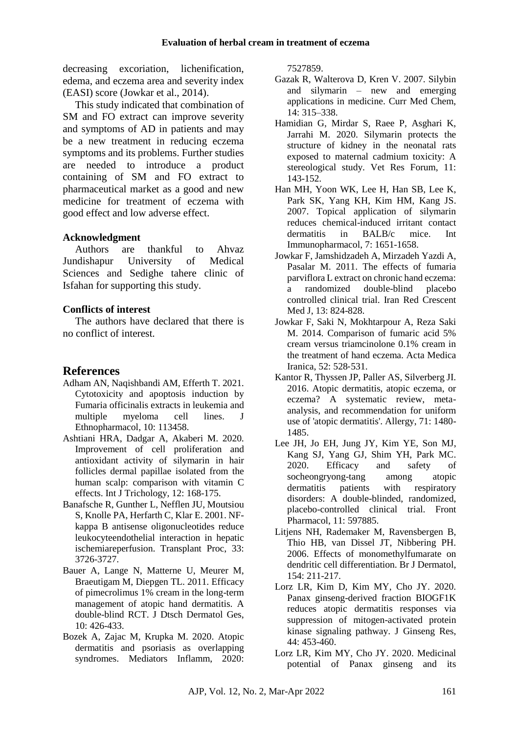decreasing excoriation, lichenification, edema, and eczema area and severity index (EASI) score (Jowkar et al., 2014).

This study indicated that combination of SM and FO extract can improve severity and symptoms of AD in patients and may be a new treatment in reducing eczema symptoms and its problems. Further studies are needed to introduce a product containing of SM and FO extract to pharmaceutical market as a good and new medicine for treatment of eczema with good effect and low adverse effect.

### **Acknowledgment**

Authors are thankful to Ahvaz Jundishapur University of Medical Sciences and Sedighe tahere clinic of Isfahan for supporting this study.

### **Conflicts of interest**

The authors have declared that there is no conflict of interest.

## **References**

- Adham AN, Naqishbandi AM, Efferth T. 2021. Cytotoxicity and apoptosis induction by Fumaria officinalis extracts in leukemia and multiple myeloma cell lines. J Ethnopharmacol, 10: 113458.
- Ashtiani HRA, Dadgar A, Akaberi M. 2020. Improvement of cell proliferation and antioxidant activity of silymarin in hair follicles dermal papillae isolated from the human scalp: comparison with vitamin C effects. Int J Trichology, 12: 168-175.
- Banafsche R, Gunther L, Nefflen JU, Moutsiou S, Knolle PA, Herfarth C, Klar E. 2001. NFkappa B antisense oligonucleotides reduce leukocyteendothelial interaction in hepatic ischemiareperfusion. Transplant Proc, 33: 3726-3727.
- Bauer A, Lange N, Matterne U, Meurer M, Braeutigam M, Diepgen TL. 2011. Efficacy of pimecrolimus 1% cream in the long-term management of atopic hand dermatitis. A double-blind RCT. J Dtsch Dermatol Ges, 10: 426-433.
- Bozek A, Zajac M, Krupka M. 2020. Atopic dermatitis and psoriasis as overlapping syndromes. Mediators Inflamm, 2020:

7527859.

- Gazak R, Walterova D, Kren V. 2007. Silybin and silymarin – new and emerging applications in medicine. Curr Med Chem, 14: 315–338.
- Hamidian G, Mirdar S, Raee P, Asghari K, Jarrahi M. 2020. Silymarin protects the structure of kidney in the neonatal rats exposed to maternal cadmium toxicity: A stereological study. Vet Res Forum, 11: 143-152.
- Han MH, Yoon WK, Lee H, Han SB, Lee K, Park SK, Yang KH, Kim HM, Kang JS. 2007. Topical application of silymarin reduces chemical-induced irritant contact dermatitis in BALB/c mice. Int Immunopharmacol, 7: 1651-1658.
- Jowkar F, Jamshidzadeh A, Mirzadeh Yazdi A, Pasalar M. 2011. The effects of fumaria parviflora L extract on chronic hand eczema: a randomized double-blind placebo controlled clinical trial. Iran Red Crescent Med J, 13: 824-828.
- Jowkar F, Saki N, Mokhtarpour A, Reza Saki M. 2014. Comparison of fumaric acid 5% cream versus triamcinolone 0.1% cream in the treatment of hand eczema. Acta Medica Iranica, 52: 528‐531.
- Kantor R, Thyssen JP, Paller AS, Silverberg JI. 2016. Atopic dermatitis, atopic eczema, or eczema? A systematic review, metaanalysis, and recommendation for uniform use of 'atopic dermatitis'. Allergy, 71: 1480- 1485.
- Lee JH, Jo EH, Jung JY, Kim YE, Son MJ, Kang SJ, Yang GJ, Shim YH, Park MC. 2020. Efficacy and safety of socheongryong-tang among atopic dermatitis patients with respiratory disorders: A double-blinded, randomized, placebo-controlled clinical trial. Front Pharmacol, 11: 597885.
- Litjens NH, Rademaker M, Ravensbergen B, Thio HB, van Dissel JT, Nibbering PH. 2006. Effects of monomethylfumarate on dendritic cell differentiation. Br J Dermatol, 154: 211-217.
- Lorz LR, Kim D, Kim MY, Cho JY. 2020. Panax ginseng-derived fraction BIOGF1K reduces atopic dermatitis responses via suppression of mitogen-activated protein kinase signaling pathway. J Ginseng Res, 44: 453-460.
- Lorz LR, Kim MY, Cho JY. 2020. Medicinal potential of Panax ginseng and its